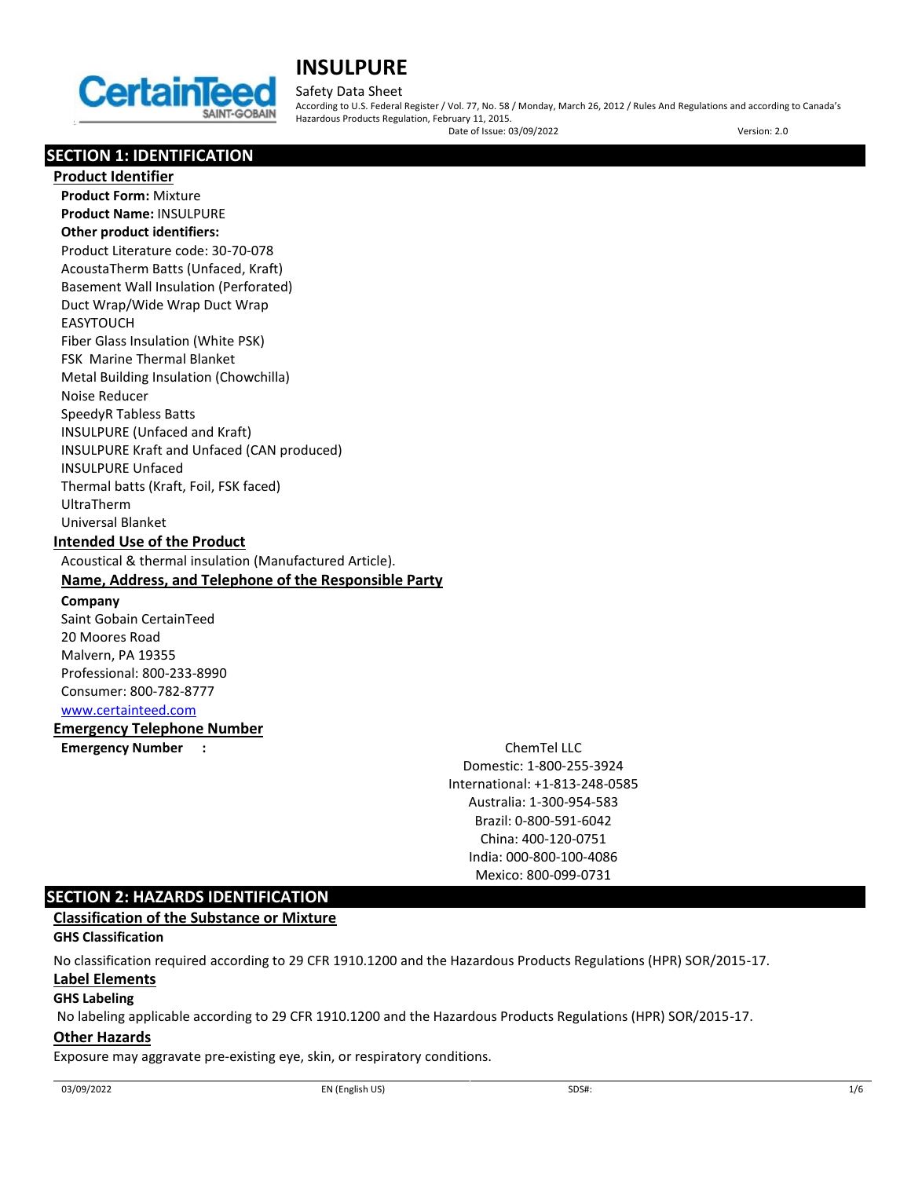

## Safety Data Sheet

According to U.S. Federal Register / Vol. 77, No. 58 / Monday, March 26, 2012 / Rules And Regulations and according to Canada's Hazardous Products Regulation, February 11, 2015.

Date of Issue: 03/09/2022 Version: 2.0

# **SECTION 1: IDENTIFICATION**

**Product Identifier Product Form:** Mixture **Product Name:** INSULPURE **Other product identifiers:** Product Literature code: 30-70-078 AcoustaTherm Batts (Unfaced, Kraft) Basement Wall Insulation (Perforated) Duct Wrap/Wide Wrap Duct Wrap EASYTOUCH Fiber Glass Insulation (White PSK) FSK Marine Thermal Blanket Metal Building Insulation (Chowchilla) Noise Reducer SpeedyR Tabless Batts INSULPURE (Unfaced and Kraft) INSULPURE Kraft and Unfaced (CAN produced) INSULPURE Unfaced Thermal batts (Kraft, Foil, FSK faced) UltraTherm Universal Blanket **Intended Use of the Product** Acoustical & thermal insulation (Manufactured Article). **Name, Address, and Telephone of the Responsible Party Company**  Saint Gobain CertainTeed 20 Moores Road Malvern, PA 19355 Professional: 800-233-8990 Consumer: 800-782-8777 [www.certainteed.com](https://www.certainteed.com/)

## **Emergency Telephone Number**

**Emergency Number :** ChemTel LLC

Domestic: 1-800-255-3924 International: +1-813-248-0585 Australia: 1-300-954-583 Brazil: 0-800-591-6042 China: 400-120-0751 India: 000-800-100-4086 Mexico: 800-099-0731

## **SECTION 2: HAZARDS IDENTIFICATION**

## **Classification of the Substance or Mixture**

## **GHS Classification**

No classification required according to 29 CFR 1910.1200 and the Hazardous Products Regulations (HPR) SOR/2015-17.

## **Label Elements**

## **GHS Labeling**

No labeling applicable according to 29 CFR 1910.1200 and the Hazardous Products Regulations (HPR) SOR/2015-17.

## **Other Hazards**

Exposure may aggravate pre-existing eye, skin, or respiratory conditions.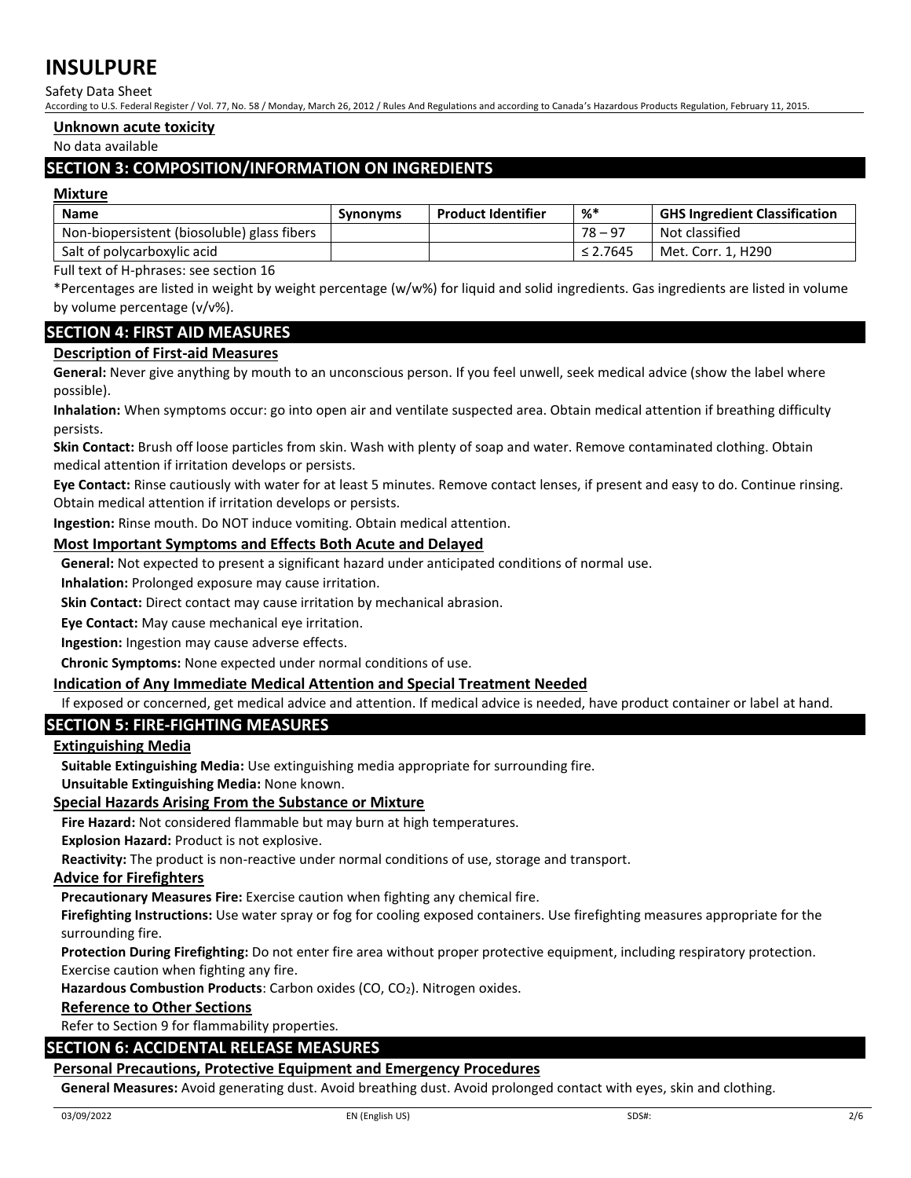Safety Data Sheet

According to U.S. Federal Register / Vol. 77, No. 58 / Monday, March 26, 2012 / Rules And Regulations and according to Canada's Hazardous Products Regulation, February 11, 2015.

#### **Unknown acute toxicity**

No data available

## **SECTION 3: COMPOSITION/INFORMATION ON INGREDIENTS**

#### **Mixture**

| <b>Name</b>                                 | <b>Synonyms</b> | <b>Product Identifier</b> | %*            | <b>GHS Ingredient Classification</b> |
|---------------------------------------------|-----------------|---------------------------|---------------|--------------------------------------|
| Non-biopersistent (biosoluble) glass fibers |                 |                           | $78 - 97$     | Not classified                       |
| Salt of polycarboxylic acid                 |                 |                           | $\leq 2.7645$ | Met. Corr. 1. H290                   |

Full text of H-phrases: see section 16

\*Percentages are listed in weight by weight percentage (w/w%) for liquid and solid ingredients. Gas ingredients are listed in volume by volume percentage (v/v%).

## **SECTION 4: FIRST AID MEASURES**

## **Description of First-aid Measures**

**General:** Never give anything by mouth to an unconscious person. If you feel unwell, seek medical advice (show the label where possible).

**Inhalation:** When symptoms occur: go into open air and ventilate suspected area. Obtain medical attention if breathing difficulty persists.

**Skin Contact:** Brush off loose particles from skin. Wash with plenty of soap and water. Remove contaminated clothing. Obtain medical attention if irritation develops or persists.

**Eye Contact:** Rinse cautiously with water for at least 5 minutes. Remove contact lenses, if present and easy to do. Continue rinsing. Obtain medical attention if irritation develops or persists.

**Ingestion:** Rinse mouth. Do NOT induce vomiting. Obtain medical attention.

## **Most Important Symptoms and Effects Both Acute and Delayed**

**General:** Not expected to present a significant hazard under anticipated conditions of normal use.

**Inhalation:** Prolonged exposure may cause irritation.

**Skin Contact:** Direct contact may cause irritation by mechanical abrasion.

**Eye Contact:** May cause mechanical eye irritation.

**Ingestion:** Ingestion may cause adverse effects.

**Chronic Symptoms:** None expected under normal conditions of use.

## **Indication of Any Immediate Medical Attention and Special Treatment Needed**

If exposed or concerned, get medical advice and attention. If medical advice is needed, have product container or label at hand.

## **SECTION 5: FIRE-FIGHTING MEASURES**

## **Extinguishing Media**

**Suitable Extinguishing Media:** Use extinguishing media appropriate for surrounding fire.

**Unsuitable Extinguishing Media:** None known.

## **Special Hazards Arising From the Substance or Mixture**

**Fire Hazard:** Not considered flammable but may burn at high temperatures.

**Explosion Hazard:** Product is not explosive.

**Reactivity:** The product is non-reactive under normal conditions of use, storage and transport.

#### **Advice for Firefighters**

**Precautionary Measures Fire:** Exercise caution when fighting any chemical fire.

**Firefighting Instructions:** Use water spray or fog for cooling exposed containers. Use firefighting measures appropriate for the surrounding fire.

**Protection During Firefighting:** Do not enter fire area without proper protective equipment, including respiratory protection. Exercise caution when fighting any fire.

Hazardous Combustion Products: Carbon oxides (CO, CO<sub>2</sub>). Nitrogen oxides.

#### **Reference to Other Sections**

Refer to Section 9 for flammability properties.

## **SECTION 6: ACCIDENTAL RELEASE MEASURES**

## **Personal Precautions, Protective Equipment and Emergency Procedures**

General Measures: Avoid generating dust. Avoid breathing dust. Avoid prolonged contact with eyes, skin and clothing.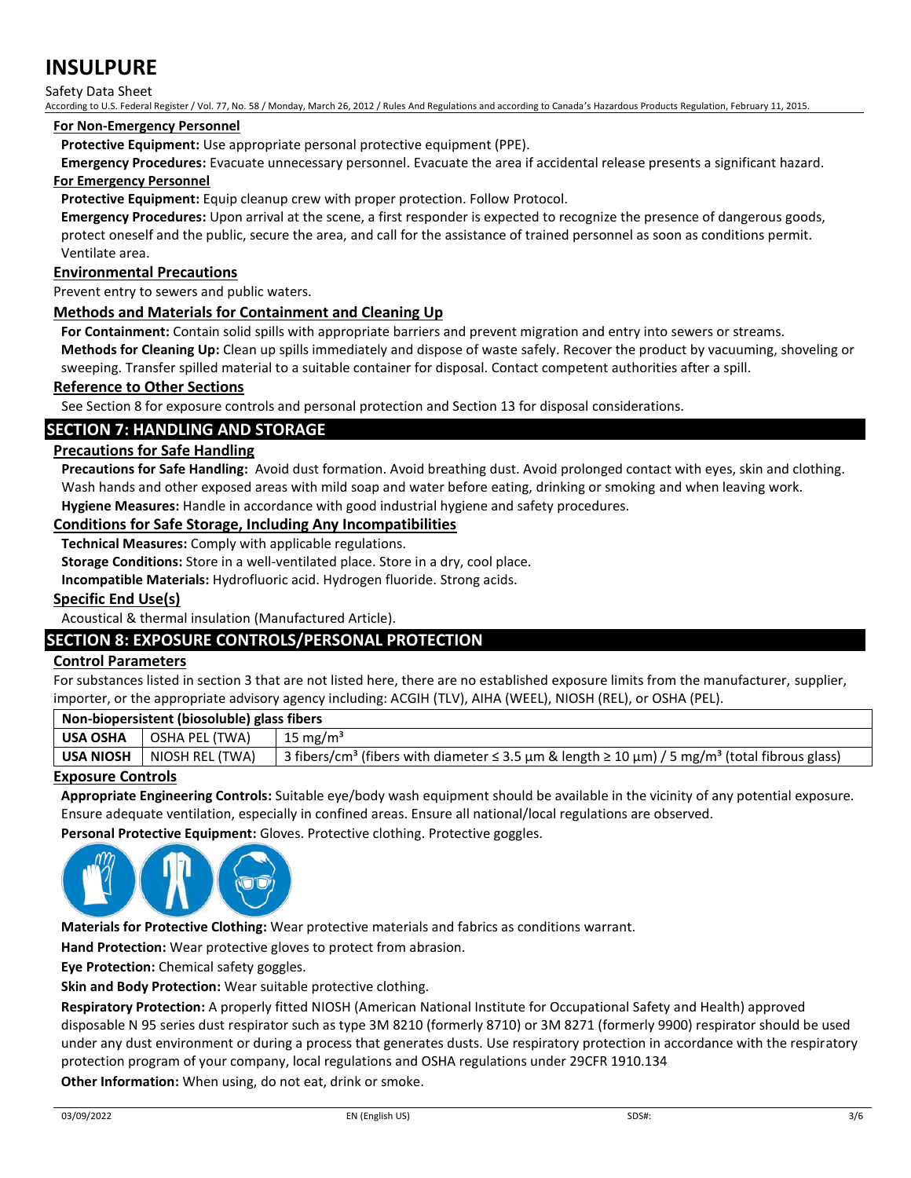Safety Data Sheet

According to U.S. Federal Register / Vol. 77, No. 58 / Monday, March 26, 2012 / Rules And Regulations and according to Canada's Hazardous Products Regulation, February 11, 2015.

#### **For Non-Emergency Personnel**

**Protective Equipment:** Use appropriate personal protective equipment (PPE).

**Emergency Procedures:** Evacuate unnecessary personnel. Evacuate the area if accidental release presents a significant hazard. **For Emergency Personnel**

**Protective Equipment:** Equip cleanup crew with proper protection. Follow Protocol.

**Emergency Procedures:** Upon arrival at the scene, a first responder is expected to recognize the presence of dangerous goods, protect oneself and the public, secure the area, and call for the assistance of trained personnel as soon as conditions permit. Ventilate area.

## **Environmental Precautions**

Prevent entry to sewers and public waters.

#### **Methods and Materials for Containment and Cleaning Up**

**For Containment:** Contain solid spills with appropriate barriers and prevent migration and entry into sewers or streams.

**Methods for Cleaning Up:** Clean up spills immediately and dispose of waste safely. Recover the product by vacuuming, shoveling or sweeping. Transfer spilled material to a suitable container for disposal. Contact competent authorities after a spill.

## **Reference to Other Sections**

See Section 8 for exposure controls and personal protection and Section 13 for disposal considerations.

## **SECTION 7: HANDLING AND STORAGE**

## **Precautions for Safe Handling**

**Precautions for Safe Handling:** Avoid dust formation. Avoid breathing dust. Avoid prolonged contact with eyes, skin and clothing. Wash hands and other exposed areas with mild soap and water before eating, drinking or smoking and when leaving work. **Hygiene Measures:** Handle in accordance with good industrial hygiene and safety procedures.

## **Conditions for Safe Storage, Including Any Incompatibilities**

**Technical Measures:** Comply with applicable regulations.

**Storage Conditions:** Store in a well-ventilated place. Store in a dry, cool place.

**Incompatible Materials:** Hydrofluoric acid. Hydrogen fluoride. Strong acids.

## **Specific End Use(s)**

Acoustical & thermal insulation (Manufactured Article).

## **SECTION 8: EXPOSURE CONTROLS/PERSONAL PROTECTION**

## **Control Parameters**

For substances listed in section 3 that are not listed here, there are no established exposure limits from the manufacturer, supplier, importer, or the appropriate advisory agency including: ACGIH (TLV), AIHA (WEEL), NIOSH (REL), or OSHA (PEL).

| Non-biopersistent (biosoluble) glass fibers |                 |                                                                                                                       |  |  |  |  |
|---------------------------------------------|-----------------|-----------------------------------------------------------------------------------------------------------------------|--|--|--|--|
| <b>USA OSHA</b>                             | OSHA PEL (TWA)  | 15 mg/m <sup>3</sup>                                                                                                  |  |  |  |  |
| <b>USA NIOSH</b>                            | NIOSH REL (TWA) | 3 fibers/cm <sup>3</sup> (fibers with diameter ≤ 3.5 μm & length ≥ 10 μm) / 5 mg/m <sup>3</sup> (total fibrous glass) |  |  |  |  |

## **Exposure Controls**

**Appropriate Engineering Controls:** Suitable eye/body wash equipment should be available in the vicinity of any potential exposure. Ensure adequate ventilation, especially in confined areas. Ensure all national/local regulations are observed.

**Personal Protective Equipment:** Gloves. Protective clothing. Protective goggles.



**Materials for Protective Clothing:** Wear protective materials and fabrics as conditions warrant.

**Hand Protection:** Wear protective gloves to protect from abrasion.

**Eye Protection:** Chemical safety goggles.

**Skin and Body Protection:** Wear suitable protective clothing.

**Respiratory Protection:** A properly fitted NIOSH (American National Institute for Occupational Safety and Health) approved disposable N 95 series dust respirator such as type 3M 8210 (formerly 8710) or 3M 8271 (formerly 9900) respirator should be used under any dust environment or during a process that generates dusts. Use respiratory protection in accordance with the respiratory protection program of your company, local regulations and OSHA regulations under 29CFR 1910.134

**Other Information:** When using, do not eat, drink or smoke.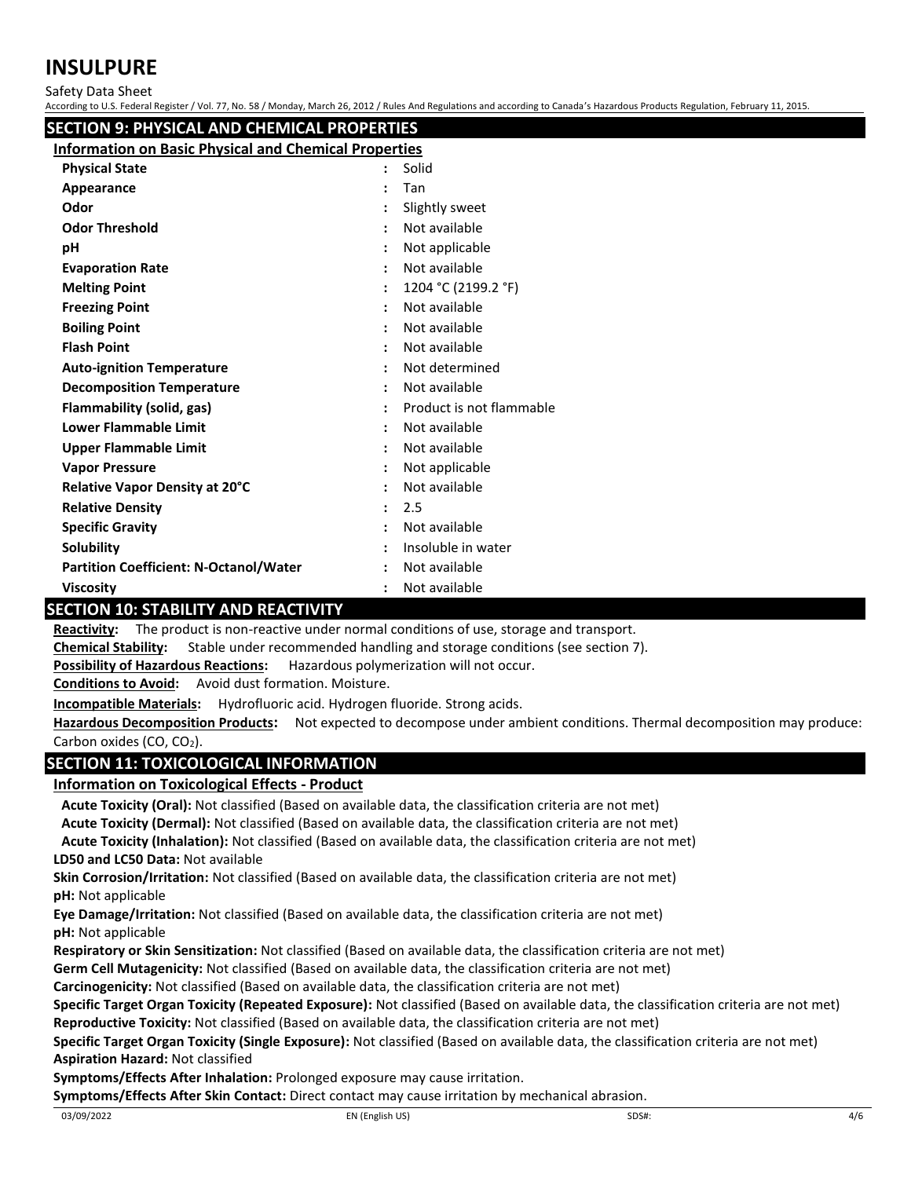Safety Data Sheet

According to U.S. Federal Register / Vol. 77, No. 58 / Monday, March 26, 2012 / Rules And Regulations and according to Canada's Hazardous Products Regulation, February 11, 2015.

| SECTION 9: PHYSICAL AND CHEMICAL PROPERTIES                  |                      |                          |  |  |  |
|--------------------------------------------------------------|----------------------|--------------------------|--|--|--|
| <b>Information on Basic Physical and Chemical Properties</b> |                      |                          |  |  |  |
| <b>Physical State</b>                                        |                      | Solid                    |  |  |  |
| Appearance                                                   |                      | Tan                      |  |  |  |
| Odor                                                         |                      | Slightly sweet           |  |  |  |
| <b>Odor Threshold</b>                                        |                      | Not available            |  |  |  |
| рH                                                           |                      | Not applicable           |  |  |  |
| <b>Evaporation Rate</b>                                      |                      | Not available            |  |  |  |
| <b>Melting Point</b>                                         |                      | 1204 °C (2199.2 °F)      |  |  |  |
| <b>Freezing Point</b>                                        |                      | Not available            |  |  |  |
| <b>Boiling Point</b>                                         |                      | Not available            |  |  |  |
| <b>Flash Point</b>                                           |                      | Not available            |  |  |  |
| <b>Auto-ignition Temperature</b>                             |                      | Not determined           |  |  |  |
| <b>Decomposition Temperature</b>                             |                      | Not available            |  |  |  |
| <b>Flammability (solid, gas)</b>                             |                      | Product is not flammable |  |  |  |
| <b>Lower Flammable Limit</b>                                 |                      | Not available            |  |  |  |
| <b>Upper Flammable Limit</b>                                 |                      | Not available            |  |  |  |
| <b>Vapor Pressure</b>                                        |                      | Not applicable           |  |  |  |
| Relative Vapor Density at 20°C                               |                      | Not available            |  |  |  |
| <b>Relative Density</b>                                      | $\ddot{\phantom{a}}$ | 2.5                      |  |  |  |
| <b>Specific Gravity</b>                                      |                      | Not available            |  |  |  |
| Solubility                                                   |                      | Insoluble in water       |  |  |  |
| <b>Partition Coefficient: N-Octanol/Water</b>                |                      | Not available            |  |  |  |
| <b>Viscosity</b>                                             |                      | Not available            |  |  |  |
| CECTION 10. CTADU ITV AND DEACTIVITY                         |                      |                          |  |  |  |

## **SECTION 10: STABILITY AND REACTIVITY**

**Reactivity:** The product is non-reactive under normal conditions of use, storage and transport.

**Chemical Stability:** Stable under recommended handling and storage conditions (see section 7).

**Possibility of Hazardous Reactions:** Hazardous polymerization will not occur.

**Conditions to Avoid:** Avoid dust formation. Moisture.

**Incompatible Materials:** Hydrofluoric acid. Hydrogen fluoride. Strong acids.

**Hazardous Decomposition Products:** Not expected to decompose under ambient conditions. Thermal decomposition may produce: Carbon oxides (CO, CO<sub>2</sub>).

## **SECTION 11: TOXICOLOGICAL INFORMATION**

**Information on Toxicological Effects - Product**

**Acute Toxicity (Oral):** Not classified (Based on available data, the classification criteria are not met) **Acute Toxicity (Dermal):** Not classified (Based on available data, the classification criteria are not met)

**LD50 and LC50 Data:** Not available **Acute Toxicity (Inhalation):** Not classified (Based on available data, the classification criteria are not met)

**Skin Corrosion/Irritation:** Not classified (Based on available data, the classification criteria are not met) **pH:** Not applicable

**Eye Damage/Irritation:** Not classified (Based on available data, the classification criteria are not met) **pH:** Not applicable

**Respiratory or Skin Sensitization:** Not classified (Based on available data, the classification criteria are not met)

**Germ Cell Mutagenicity:** Not classified (Based on available data, the classification criteria are not met)

**Carcinogenicity:** Not classified (Based on available data, the classification criteria are not met)

**Specific Target Organ Toxicity (Repeated Exposure):** Not classified (Based on available data, the classification criteria are not met) **Reproductive Toxicity:** Not classified (Based on available data, the classification criteria are not met)

**Specific Target Organ Toxicity (Single Exposure):** Not classified (Based on available data, the classification criteria are not met) **Aspiration Hazard:** Not classified

**Symptoms/Effects After Inhalation:** Prolonged exposure may cause irritation.

**Symptoms/Effects After Skin Contact:** Direct contact may cause irritation by mechanical abrasion.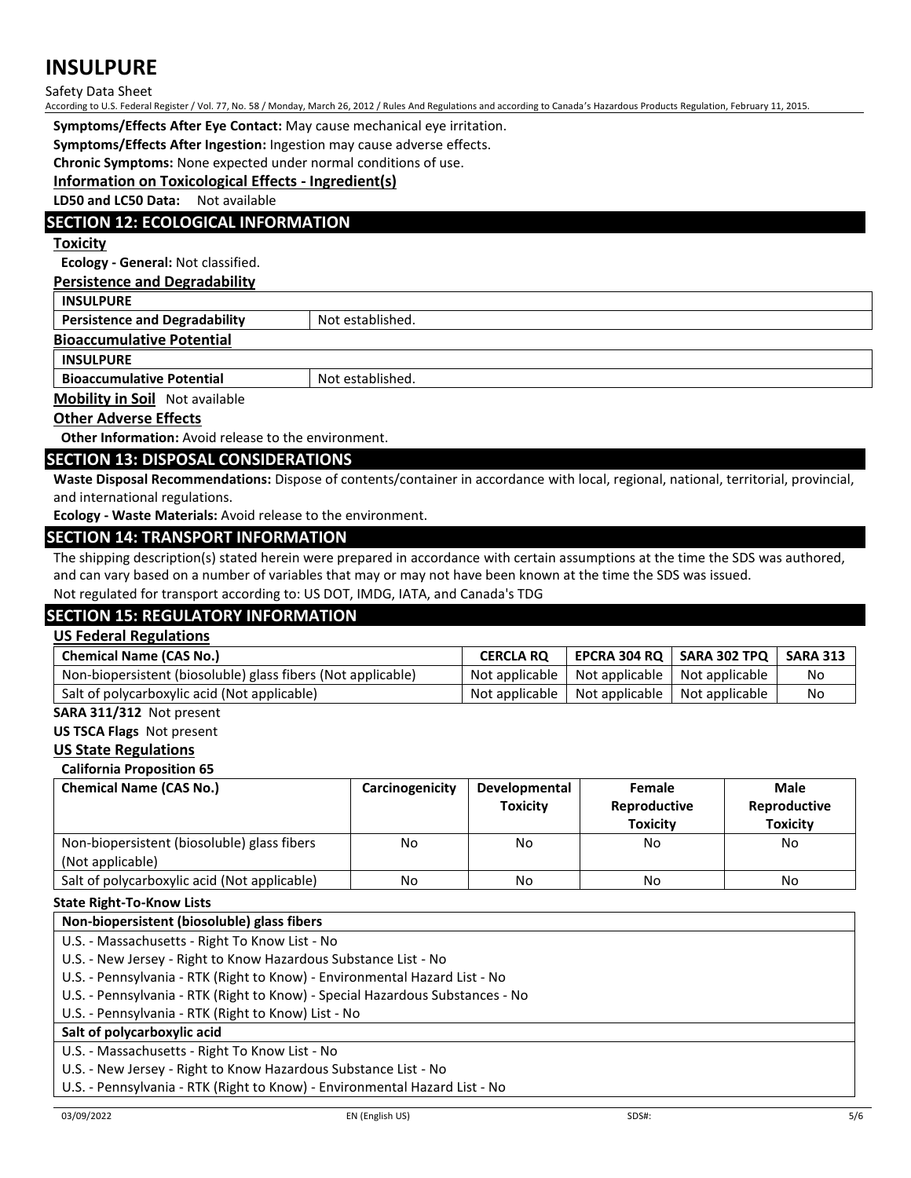#### Safety Data Sheet

According to U.S. Federal Register / Vol. 77, No. 58 / Monday, March 26, 2012 / Rules And Regulations and according to Canada's Hazardous Products Regulation, February 11, 2015.

**Symptoms/Effects After Eye Contact:** May cause mechanical eye irritation.

**Symptoms/Effects After Ingestion:** Ingestion may cause adverse effects.

**Chronic Symptoms:** None expected under normal conditions of use.

## **Information on Toxicological Effects - Ingredient(s)**

**LD50 and LC50 Data:** Not available

## **SECTION 12: ECOLOGICAL INFORMATION**

## **Toxicity**

**Ecology - General:** Not classified.

## **Persistence and Degradability**

| <b>INSULPURE</b>                     |                  |  |  |  |
|--------------------------------------|------------------|--|--|--|
| <b>Persistence and Degradability</b> | Not established. |  |  |  |
| <b>Bioaccumulative Potential</b>     |                  |  |  |  |
| <b>INSULPURE</b>                     |                  |  |  |  |
| <b>Bioaccumulative Potential</b>     | Not established. |  |  |  |

**Mobility in Soil** Not available

#### **Other Adverse Effects**

**Other Information:** Avoid release to the environment.

#### **SECTION 13: DISPOSAL CONSIDERATIONS**

**Waste Disposal Recommendations:** Dispose of contents/container in accordance with local, regional, national, territorial, provincial, and international regulations.

**Ecology - Waste Materials:** Avoid release to the environment.

#### **SECTION 14: TRANSPORT INFORMATION**

The shipping description(s) stated herein were prepared in accordance with certain assumptions at the time the SDS was authored, and can vary based on a number of variables that may or may not have been known at the time the SDS was issued.

Not regulated for transport according to: US DOT, IMDG, IATA, and Canada's TDG

## **SECTION 15: REGULATORY INFORMATION**

#### **US Federal Regulations**

| <b>Chemical Name (CAS No.)</b>                               | <b>CERCLA RO</b> |                                                  | EPCRA 304 RQ   SARA 302 TPQ   SARA 313 |    |
|--------------------------------------------------------------|------------------|--------------------------------------------------|----------------------------------------|----|
| Non-biopersistent (biosoluble) glass fibers (Not applicable) |                  | Not applicable   Not applicable   Not applicable |                                        | No |
| Salt of polycarboxylic acid (Not applicable)                 |                  | Not applicable   Not applicable   Not applicable |                                        | No |

## **SARA 311/312** Not present

**US TSCA Flags** Not present

#### **US State Regulations**

**California Proposition 65**

| <b>Chemical Name (CAS No.)</b>                                  | Carcinogenicity | Developmental<br><b>Toxicity</b> | Female<br>Reproductive<br><b>Toxicity</b> | Male<br>Reproductive<br><b>Toxicity</b> |
|-----------------------------------------------------------------|-----------------|----------------------------------|-------------------------------------------|-----------------------------------------|
| Non-biopersistent (biosoluble) glass fibers<br>(Not applicable) | No              | No                               | No                                        | No                                      |
| Salt of polycarboxylic acid (Not applicable)                    | No              | No                               | No                                        | No                                      |

#### **State Right-To-Know Lists**

#### **Non-biopersistent (biosoluble) glass fibers**

U.S. - Massachusetts - Right To Know List - No

U.S. - New Jersey - Right to Know Hazardous Substance List - No

U.S. - Pennsylvania - RTK (Right to Know) - Environmental Hazard List - No

U.S. - Pennsylvania - RTK (Right to Know) - Special Hazardous Substances - No

U.S. - Pennsylvania - RTK (Right to Know) List - No

## **Salt of polycarboxylic acid**

U.S. - Massachusetts - Right To Know List - No

U.S. - New Jersey - Right to Know Hazardous Substance List - No

U.S. - Pennsylvania - RTK (Right to Know) - Environmental Hazard List - No